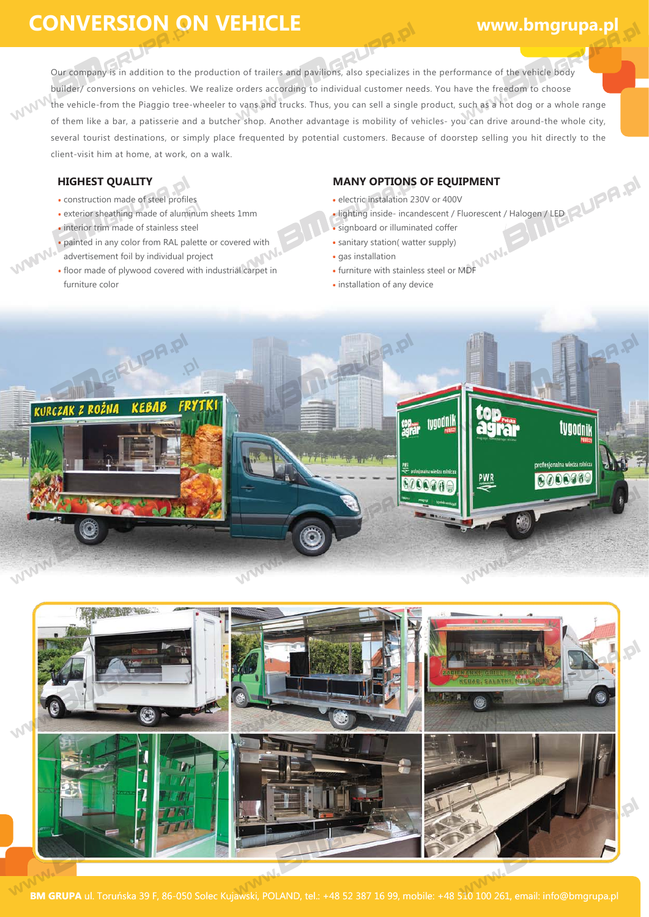## **CONVERSION ON VEHICLE**

 $\mathbf{p}$ 

Our company is in addition to the production of trailers and pavilions, also specializes in the performance of the vehicle body builder/ conversions on vehicles. We realize orders according to individual customer needs. You have the freedom to choose the vehicle-from the Piaggio tree-wheeler to vans and trucks. Thus, you can sell a single product, such as a hot dog or a whole range of them like a bar, a patisserie and a butcher shop. Another advantage is mobility of vehicles- you can drive around-the whole city, several tourist destinations, or simply place frequented by potential customers. Because of doorstep selling you hit directly to the client-visit him at home, at work, on a walk.

**Warn!** 

- construction made of steel profiles  $\mathbf{\hat{p}}$
- exterior sheathing made of aluminum sheets 1mm · interior trim made of stainless steel
- painted in any color from RAL palette or covered with
- advertisement foil by individual project
- floor made of plywood covered with industrial carpet in furniture color

### **HIGHEST QUALITY MANY OPTIONS OF EQUIPMENT**

 $\boldsymbol{\varphi}$ 

- electric instalation 230V or 400V
- lighting inside- incandescent / Fluorescent / Halogen / LED
- signboard or illuminated coffer
- sanitary station( watter supply)
- gas installation
- furniture with stainless steel or MDF
- installation of any device





**BM GRUPA** ul. Toruńska 39 F, 86-050 Solec Kujawski, POLAND, tel.: +48 52 387 16 99, mobile: +48 510 100 261, email: info@bmgrupa.pl